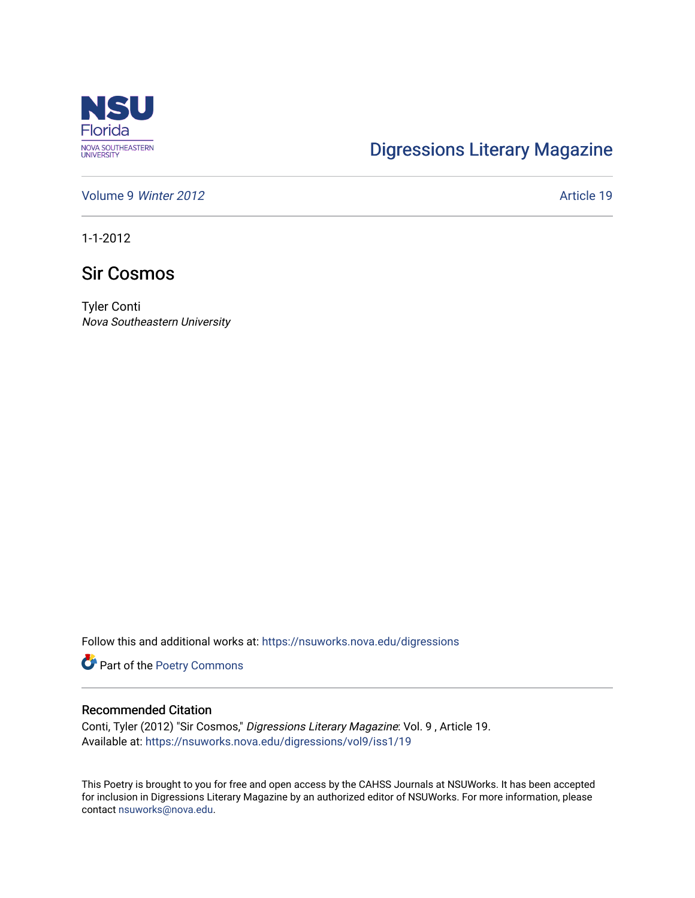

## [Digressions Literary Magazine](https://nsuworks.nova.edu/digressions)

[Volume 9](https://nsuworks.nova.edu/digressions/vol9) Winter 2012 **Article 19** Article 19

1-1-2012

## Sir Cosmos

Tyler Conti Nova Southeastern University

Follow this and additional works at: [https://nsuworks.nova.edu/digressions](https://nsuworks.nova.edu/digressions?utm_source=nsuworks.nova.edu%2Fdigressions%2Fvol9%2Fiss1%2F19&utm_medium=PDF&utm_campaign=PDFCoverPages) 

Part of the [Poetry Commons](http://network.bepress.com/hgg/discipline/1153?utm_source=nsuworks.nova.edu%2Fdigressions%2Fvol9%2Fiss1%2F19&utm_medium=PDF&utm_campaign=PDFCoverPages) 

## Recommended Citation

Conti, Tyler (2012) "Sir Cosmos," Digressions Literary Magazine: Vol. 9 , Article 19. Available at: [https://nsuworks.nova.edu/digressions/vol9/iss1/19](https://nsuworks.nova.edu/digressions/vol9/iss1/19?utm_source=nsuworks.nova.edu%2Fdigressions%2Fvol9%2Fiss1%2F19&utm_medium=PDF&utm_campaign=PDFCoverPages) 

This Poetry is brought to you for free and open access by the CAHSS Journals at NSUWorks. It has been accepted for inclusion in Digressions Literary Magazine by an authorized editor of NSUWorks. For more information, please contact [nsuworks@nova.edu.](mailto:nsuworks@nova.edu)